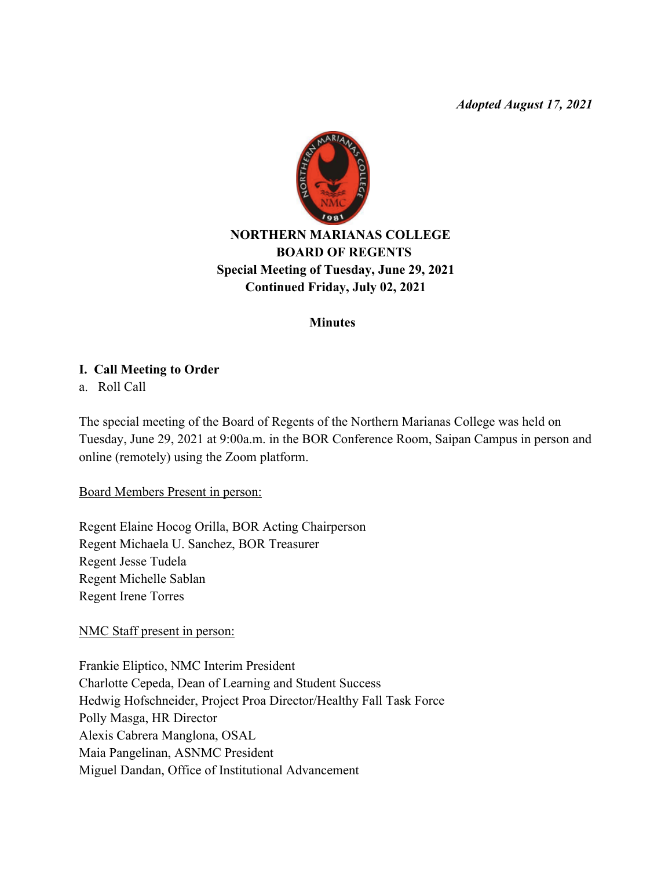*Adopted August 17, 2021*



# **NORTHERN MARIANAS COLLEGE BOARD OF REGENTS Special Meeting of Tuesday, June 29, 2021 Continued Friday, July 02, 2021**

### **Minutes**

## **I. Call Meeting to Order**

a. Roll Call

The special meeting of the Board of Regents of the Northern Marianas College was held on Tuesday, June 29, 2021 at 9:00a.m. in the BOR Conference Room, Saipan Campus in person and online (remotely) using the Zoom platform.

Board Members Present in person:

Regent Elaine Hocog Orilla, BOR Acting Chairperson Regent Michaela U. Sanchez, BOR Treasurer Regent Jesse Tudela Regent Michelle Sablan Regent Irene Torres

NMC Staff present in person:

Frankie Eliptico, NMC Interim President Charlotte Cepeda, Dean of Learning and Student Success Hedwig Hofschneider, Project Proa Director/Healthy Fall Task Force Polly Masga, HR Director Alexis Cabrera Manglona, OSAL Maia Pangelinan, ASNMC President Miguel Dandan, Office of Institutional Advancement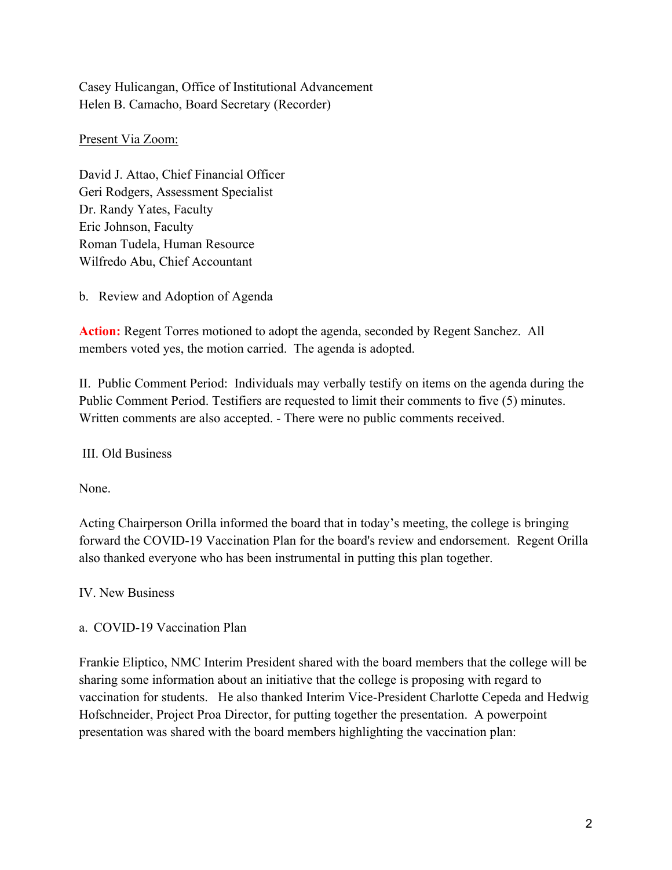Casey Hulicangan, Office of Institutional Advancement Helen B. Camacho, Board Secretary (Recorder)

### Present Via Zoom:

David J. Attao, Chief Financial Officer Geri Rodgers, Assessment Specialist Dr. Randy Yates, Faculty Eric Johnson, Faculty Roman Tudela, Human Resource Wilfredo Abu, Chief Accountant

b. Review and Adoption of Agenda

**Action:** Regent Torres motioned to adopt the agenda, seconded by Regent Sanchez. All members voted yes, the motion carried. The agenda is adopted.

II. Public Comment Period: Individuals may verbally testify on items on the agenda during the Public Comment Period. Testifiers are requested to limit their comments to five (5) minutes. Written comments are also accepted. - There were no public comments received.

III. Old Business

None.

Acting Chairperson Orilla informed the board that in today's meeting, the college is bringing forward the COVID-19 Vaccination Plan for the board's review and endorsement. Regent Orilla also thanked everyone who has been instrumental in putting this plan together.

IV. New Business

a. COVID-19 Vaccination Plan

Frankie Eliptico, NMC Interim President shared with the board members that the college will be sharing some information about an initiative that the college is proposing with regard to vaccination for students. He also thanked Interim Vice-President Charlotte Cepeda and Hedwig Hofschneider, Project Proa Director, for putting together the presentation. A powerpoint presentation was shared with the board members highlighting the vaccination plan: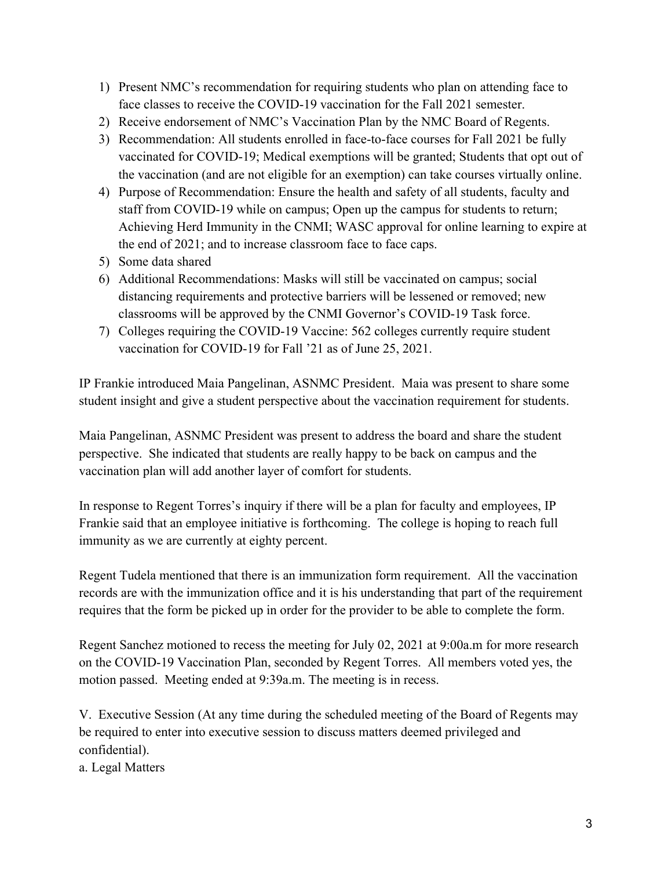- 1) Present NMC's recommendation for requiring students who plan on attending face to face classes to receive the COVID-19 vaccination for the Fall 2021 semester.
- 2) Receive endorsement of NMC's Vaccination Plan by the NMC Board of Regents.
- 3) Recommendation: All students enrolled in face-to-face courses for Fall 2021 be fully vaccinated for COVID-19; Medical exemptions will be granted; Students that opt out of the vaccination (and are not eligible for an exemption) can take courses virtually online.
- 4) Purpose of Recommendation: Ensure the health and safety of all students, faculty and staff from COVID-19 while on campus; Open up the campus for students to return; Achieving Herd Immunity in the CNMI; WASC approval for online learning to expire at the end of 2021; and to increase classroom face to face caps.
- 5) Some data shared
- 6) Additional Recommendations: Masks will still be vaccinated on campus; social distancing requirements and protective barriers will be lessened or removed; new classrooms will be approved by the CNMI Governor's COVID-19 Task force.
- 7) Colleges requiring the COVID-19 Vaccine: 562 colleges currently require student vaccination for COVID-19 for Fall '21 as of June 25, 2021.

IP Frankie introduced Maia Pangelinan, ASNMC President. Maia was present to share some student insight and give a student perspective about the vaccination requirement for students.

Maia Pangelinan, ASNMC President was present to address the board and share the student perspective. She indicated that students are really happy to be back on campus and the vaccination plan will add another layer of comfort for students.

In response to Regent Torres's inquiry if there will be a plan for faculty and employees, IP Frankie said that an employee initiative is forthcoming. The college is hoping to reach full immunity as we are currently at eighty percent.

Regent Tudela mentioned that there is an immunization form requirement. All the vaccination records are with the immunization office and it is his understanding that part of the requirement requires that the form be picked up in order for the provider to be able to complete the form.

Regent Sanchez motioned to recess the meeting for July 02, 2021 at 9:00a.m for more research on the COVID-19 Vaccination Plan, seconded by Regent Torres. All members voted yes, the motion passed. Meeting ended at 9:39a.m. The meeting is in recess.

V. Executive Session (At any time during the scheduled meeting of the Board of Regents may be required to enter into executive session to discuss matters deemed privileged and confidential).

a. Legal Matters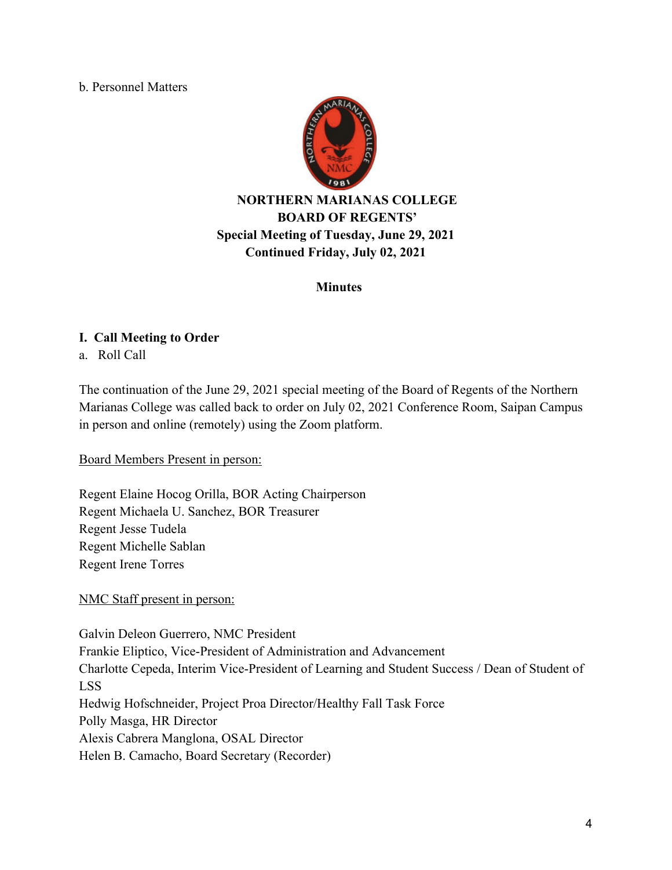#### b. Personnel Matters



## **NORTHERN MARIANAS COLLEGE BOARD OF REGENTS' Special Meeting of Tuesday, June 29, 2021 Continued Friday, July 02, 2021**

### **Minutes**

### **I. Call Meeting to Order**

a. Roll Call

The continuation of the June 29, 2021 special meeting of the Board of Regents of the Northern Marianas College was called back to order on July 02, 2021 Conference Room, Saipan Campus in person and online (remotely) using the Zoom platform.

Board Members Present in person:

Regent Elaine Hocog Orilla, BOR Acting Chairperson Regent Michaela U. Sanchez, BOR Treasurer Regent Jesse Tudela Regent Michelle Sablan Regent Irene Torres

#### NMC Staff present in person:

Galvin Deleon Guerrero, NMC President Frankie Eliptico, Vice-President of Administration and Advancement Charlotte Cepeda, Interim Vice-President of Learning and Student Success / Dean of Student of LSS Hedwig Hofschneider, Project Proa Director/Healthy Fall Task Force Polly Masga, HR Director Alexis Cabrera Manglona, OSAL Director Helen B. Camacho, Board Secretary (Recorder)